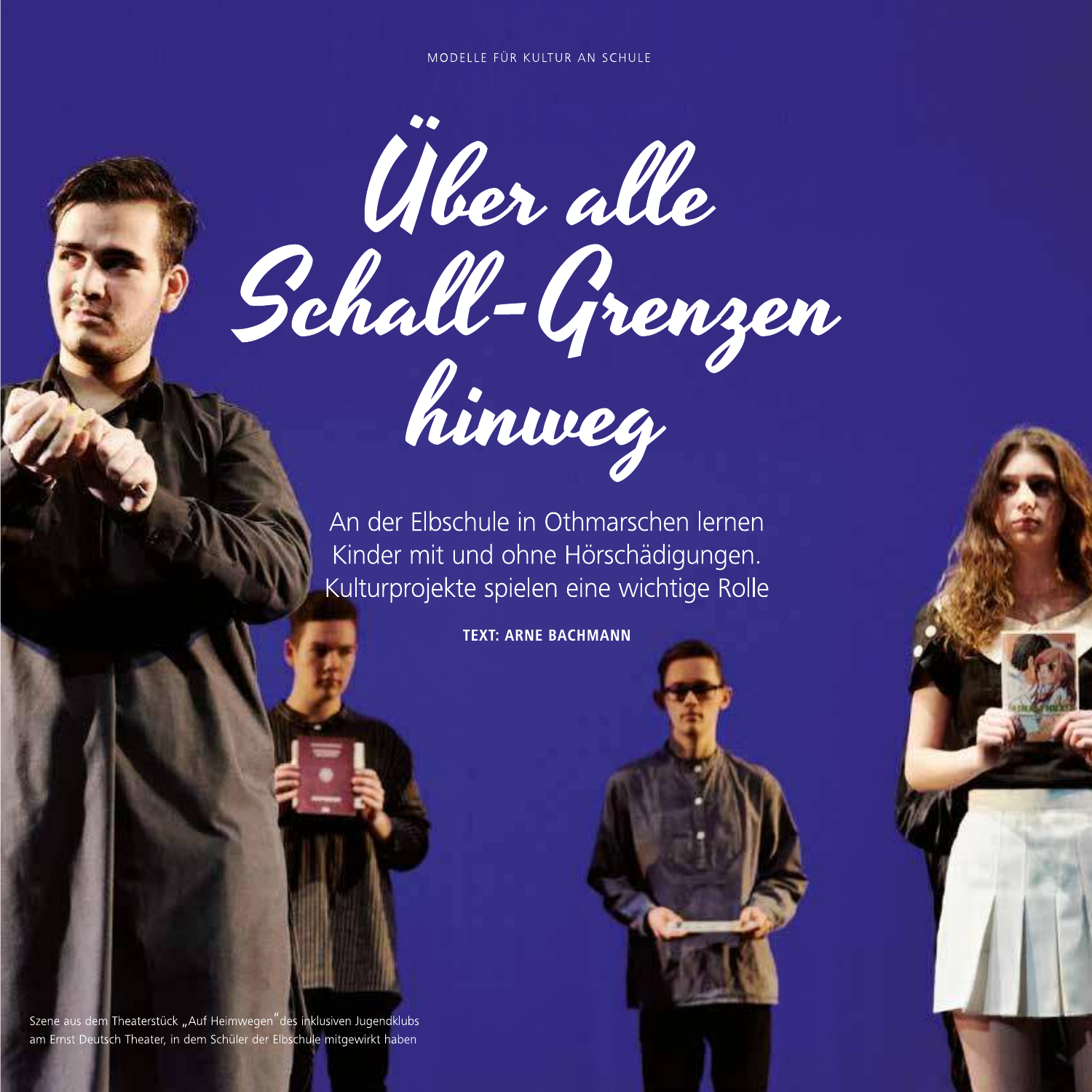## MODELLE FÜR KULTUR AN SCHULE



An der Elbschule in Othmarschen lernen Kinder mit und ohne Hörschädigungen. Kulturprojekte spielen eine wichtige Rolle

**TEXT: ARNE BACHMANN** 

Szene aus dem Theaterstück "Auf Heimwegen" des inklusiven Jugendklubs am Ernst Deutsch Theater, in dem Schüler der Elbschule mitgewirkt haben